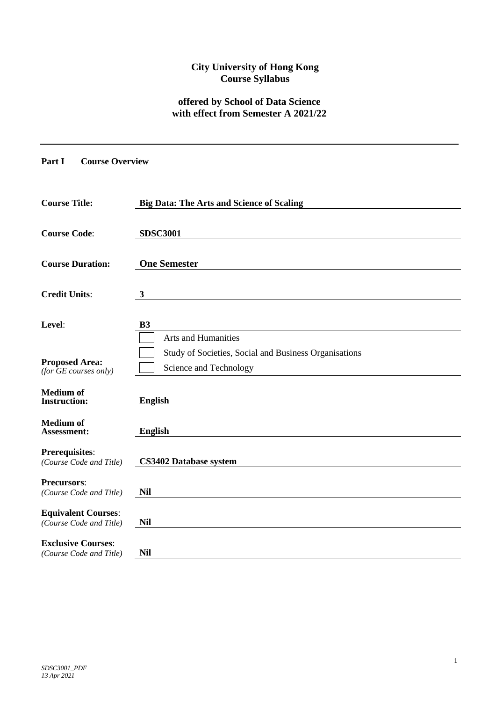## **City University of Hong Kong Course Syllabus**

## **offered by School of Data Science with effect from Semester A 2021/22**

# **Part I Course Overview**

| <b>Course Title:</b>                                         | <b>Big Data: The Arts and Science of Scaling</b>                                |
|--------------------------------------------------------------|---------------------------------------------------------------------------------|
| <b>Course Code:</b>                                          | <b>SDSC3001</b>                                                                 |
| <b>Course Duration:</b>                                      | <b>One Semester</b>                                                             |
| <b>Credit Units:</b>                                         | $\mathbf{3}$                                                                    |
| Level:                                                       | B3<br><b>Arts and Humanities</b>                                                |
| <b>Proposed Area:</b><br>$(for \overline{GE}~ courses~only)$ | Study of Societies, Social and Business Organisations<br>Science and Technology |
| <b>Medium</b> of<br><b>Instruction:</b>                      | <b>English</b>                                                                  |
| <b>Medium</b> of<br>Assessment:                              | <b>English</b>                                                                  |
| Prerequisites:<br>(Course Code and Title)                    | <b>CS3402 Database system</b>                                                   |
| <b>Precursors:</b><br>(Course Code and Title)                | <b>Nil</b>                                                                      |
| <b>Equivalent Courses:</b><br>(Course Code and Title)        | <b>Nil</b>                                                                      |
| <b>Exclusive Courses:</b><br>(Course Code and Title)         | <b>Nil</b>                                                                      |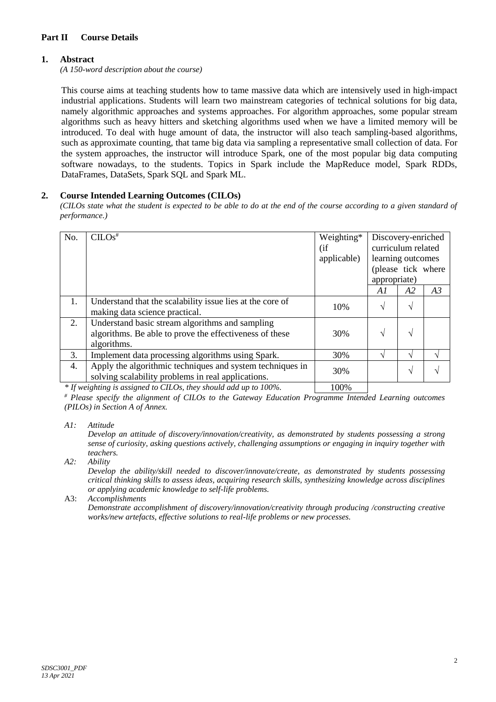### **Part II Course Details**

## **1. Abstract**

*(A 150-word description about the course)*

This course aims at teaching students how to tame massive data which are intensively used in high-impact industrial applications. Students will learn two mainstream categories of technical solutions for big data, namely algorithmic approaches and systems approaches. For algorithm approaches, some popular stream algorithms such as heavy hitters and sketching algorithms used when we have a limited memory will be introduced. To deal with huge amount of data, the instructor will also teach sampling-based algorithms, such as approximate counting, that tame big data via sampling a representative small collection of data. For the system approaches, the instructor will introduce Spark, one of the most popular big data computing software nowadays, to the students. Topics in Spark include the MapReduce model, Spark RDDs, DataFrames, DataSets, Spark SQL and Spark ML.

#### **2. Course Intended Learning Outcomes (CILOs)**

*(CILOs state what the student is expected to be able to do at the end of the course according to a given standard of performance.)*

| No. | $CLOS$ <sup>#</sup>                                                                                                       | Weighting*<br>(i f)<br>applicable) | Discovery-enriched<br>curriculum related<br>learning outcomes<br>(please tick where<br>appropriate) |    |    |
|-----|---------------------------------------------------------------------------------------------------------------------------|------------------------------------|-----------------------------------------------------------------------------------------------------|----|----|
|     |                                                                                                                           |                                    | A I                                                                                                 | A2 | A3 |
| 1.  | Understand that the scalability issue lies at the core of<br>making data science practical.                               | 10%                                | $\sqrt{ }$                                                                                          | V  |    |
| 2.  | Understand basic stream algorithms and sampling<br>algorithms. Be able to prove the effectiveness of these<br>algorithms. | 30%                                | N                                                                                                   | N  |    |
| 3.  | Implement data processing algorithms using Spark.                                                                         | 30%                                | ٦                                                                                                   |    |    |
| 4.  | Apply the algorithmic techniques and system techniques in<br>solving scalability problems in real applications.           | 30%                                |                                                                                                     | N  |    |

*\* If weighting is assigned to CILOs, they should add up to 100%.* 100%

*# Please specify the alignment of CILOs to the Gateway Education Programme Intended Learning outcomes (PILOs) in Section A of Annex.* 

*A1: Attitude* 

*Develop an attitude of discovery/innovation/creativity, as demonstrated by students possessing a strong sense of curiosity, asking questions actively, challenging assumptions or engaging in inquiry together with teachers.*

*A2: Ability*

*Develop the ability/skill needed to discover/innovate/create, as demonstrated by students possessing critical thinking skills to assess ideas, acquiring research skills, synthesizing knowledge across disciplines or applying academic knowledge to self-life problems.*

A3: *Accomplishments Demonstrate accomplishment of discovery/innovation/creativity through producing /constructing creative works/new artefacts, effective solutions to real-life problems or new processes.*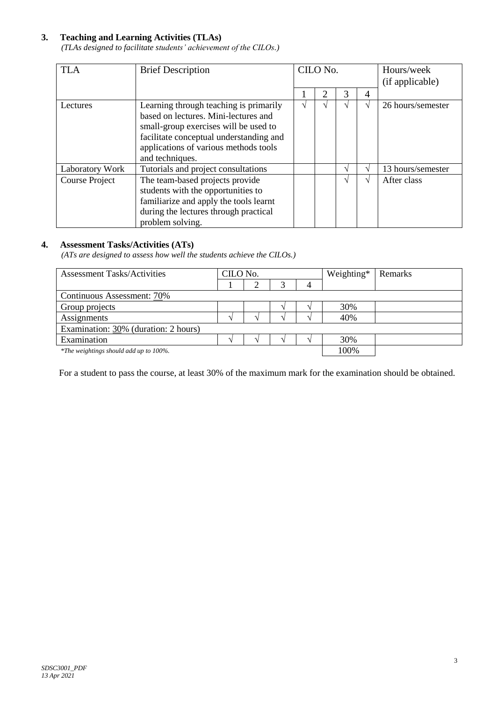## **3. Teaching and Learning Activities (TLAs)**

*(TLAs designed to facilitate students' achievement of the CILOs.)*

| <b>TLA</b>      | <b>Brief Description</b>                                                                                                                                                                                                       |               | CILO No. |   |    | Hours/week<br>(if applicable) |
|-----------------|--------------------------------------------------------------------------------------------------------------------------------------------------------------------------------------------------------------------------------|---------------|----------|---|----|-------------------------------|
|                 |                                                                                                                                                                                                                                |               | 2        | 3 | 4  |                               |
| Lectures        | Learning through teaching is primarily<br>based on lectures. Mini-lectures and<br>small-group exercises will be used to<br>facilitate conceptual understanding and<br>applications of various methods tools<br>and techniques. | $\mathcal{N}$ |          |   | اد | 26 hours/semester             |
| Laboratory Work | Tutorials and project consultations                                                                                                                                                                                            |               |          |   |    | 13 hours/semester             |
| Course Project  | The team-based projects provide<br>students with the opportunities to<br>familiarize and apply the tools learnt<br>during the lectures through practical<br>problem solving.                                                   |               |          |   |    | After class                   |

#### **4. Assessment Tasks/Activities (ATs)**

*(ATs are designed to assess how well the students achieve the CILOs.)*

| <b>Assessment Tasks/Activities</b>     | CILO No. |  | Weighting* | Remarks |
|----------------------------------------|----------|--|------------|---------|
|                                        |          |  |            |         |
| Continuous Assessment: 70%             |          |  |            |         |
| Group projects                         |          |  | 30%        |         |
| Assignments                            |          |  | 40%        |         |
| Examination: 30% (duration: 2 hours)   |          |  |            |         |
| Examination                            |          |  | 30%        |         |
| *The weightings should add up to 100%. |          |  | 100%       |         |

For a student to pass the course, at least 30% of the maximum mark for the examination should be obtained.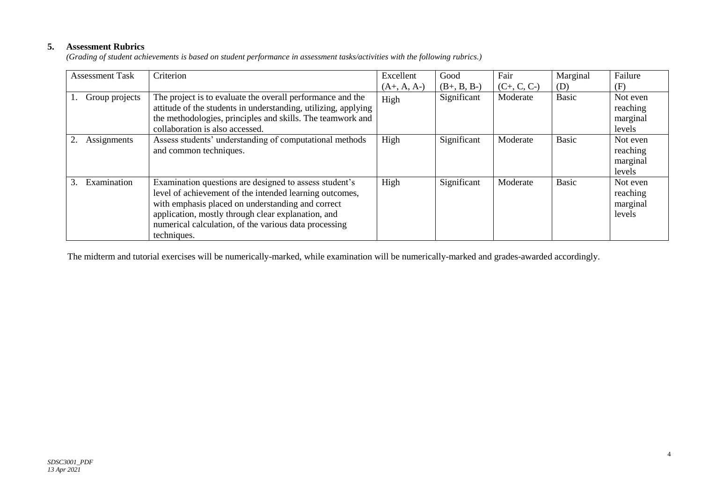## **5. Assessment Rubrics**

*(Grading of student achievements is based on student performance in assessment tasks/activities with the following rubrics.)*

| <b>Assessment Task</b> | Criterion                                                                                                                                                                                                                                                                                            | Excellent     | Good          | Fair          | Marginal     | Failure                                    |
|------------------------|------------------------------------------------------------------------------------------------------------------------------------------------------------------------------------------------------------------------------------------------------------------------------------------------------|---------------|---------------|---------------|--------------|--------------------------------------------|
|                        |                                                                                                                                                                                                                                                                                                      | $(A+, A, A-)$ | $(B+, B, B-)$ | $(C+, C, C-)$ | (D)          | (F)                                        |
| Group projects         | The project is to evaluate the overall performance and the<br>attitude of the students in understanding, utilizing, applying<br>the methodologies, principles and skills. The teamwork and<br>collaboration is also accessed.                                                                        | High          | Significant   | Moderate      | <b>Basic</b> | Not even<br>reaching<br>marginal<br>levels |
| Assignments            | Assess students' understanding of computational methods<br>and common techniques.                                                                                                                                                                                                                    | High          | Significant   | Moderate      | <b>Basic</b> | Not even<br>reaching<br>marginal<br>levels |
| Examination            | Examination questions are designed to assess student's<br>level of achievement of the intended learning outcomes,<br>with emphasis placed on understanding and correct<br>application, mostly through clear explanation, and<br>numerical calculation, of the various data processing<br>techniques. | High          | Significant   | Moderate      | <b>Basic</b> | Not even<br>reaching<br>marginal<br>levels |

The midterm and tutorial exercises will be numerically-marked, while examination will be numerically-marked and grades-awarded accordingly.